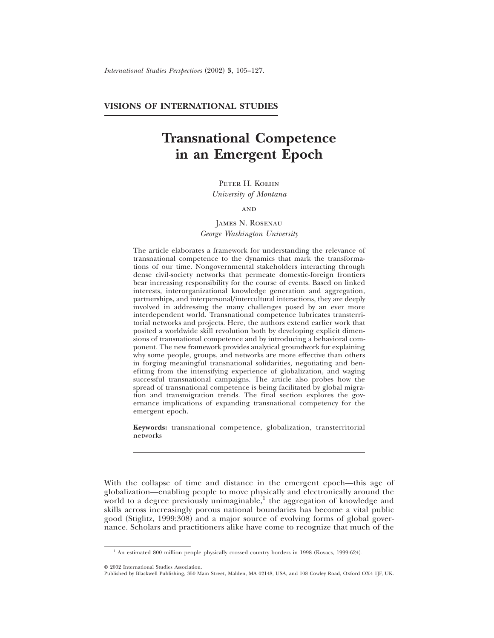# **VISIONS OF INTERNATIONAL STUDIES**

# **Transnational Competence in an Emergent Epoch**

## PETER H. KOEHN

*University of Montana*

**AND** 

# James N. Rosenau *George Washington University*

The article elaborates a framework for understanding the relevance of transnational competence to the dynamics that mark the transformations of our time. Nongovernmental stakeholders interacting through dense civil-society networks that permeate domestic-foreign frontiers bear increasing responsibility for the course of events. Based on linked interests, interorganizational knowledge generation and aggregation, partnerships, and interpersonal/intercultural interactions, they are deeply involved in addressing the many challenges posed by an ever more interdependent world. Transnational competence lubricates transterritorial networks and projects. Here, the authors extend earlier work that posited a worldwide skill revolution both by developing explicit dimensions of transnational competence and by introducing a behavioral component. The new framework provides analytical groundwork for explaining why some people, groups, and networks are more effective than others in forging meaningful transnational solidarities, negotiating and benefiting from the intensifying experience of globalization, and waging successful transnational campaigns. The article also probes how the spread of transnational competence is being facilitated by global migration and transmigration trends. The final section explores the governance implications of expanding transnational competency for the emergent epoch.

**Keywords:** transnational competence, globalization, transterritorial networks

With the collapse of time and distance in the emergent epoch—this age of globalization—enabling people to move physically and electronically around the world to a degree previously unimaginable, $\frac{1}{2}$  the aggregation of knowledge and skills across increasingly porous national boundaries has become a vital public good  $(Stiglitz, 1999:308)$  and a major source of evolving forms of global governance. Scholars and practitioners alike have come to recognize that much of the

© 2002 International Studies Association.

 $1$  An estimated 800 million people physically crossed country borders in 1998 (Kovacs, 1999:624).

Published by Blackwell Publishing, 350 Main Street, Malden, MA 02148, USA, and 108 Cowley Road, Oxford OX4 1JF, UK.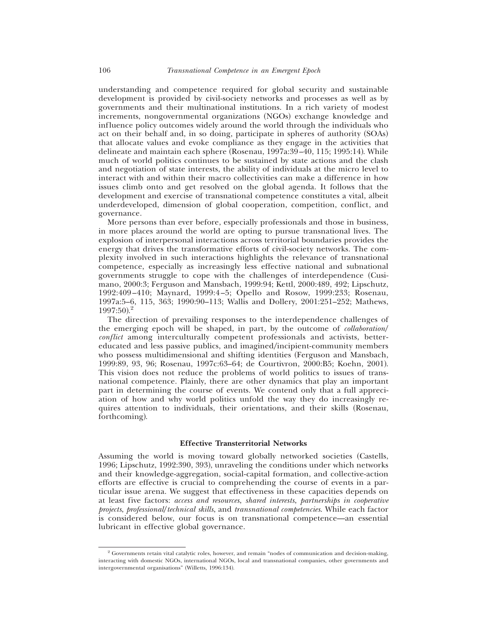understanding and competence required for global security and sustainable development is provided by civil-society networks and processes as well as by governments and their multinational institutions. In a rich variety of modest increments, nongovernmental organizations (NGOs) exchange knowledge and influence policy outcomes widely around the world through the individuals who act on their behalf and, in so doing, participate in spheres of authority (SOAs) that allocate values and evoke compliance as they engage in the activities that delineate and maintain each sphere (Rosenau, 1997a:39-40, 115; 1995:14). While much of world politics continues to be sustained by state actions and the clash and negotiation of state interests, the ability of individuals at the micro level to interact with and within their macro collectivities can make a difference in how issues climb onto and get resolved on the global agenda. It follows that the development and exercise of transnational competence constitutes a vital, albeit underdeveloped, dimension of global cooperation, competition, conflict, and governance.

More persons than ever before, especially professionals and those in business, in more places around the world are opting to pursue transnational lives. The explosion of interpersonal interactions across territorial boundaries provides the energy that drives the transformative efforts of civil-society networks. The complexity involved in such interactions highlights the relevance of transnational competence, especially as increasingly less effective national and subnational governments struggle to cope with the challenges of interdependence (Cusimano, 2000:3; Ferguson and Mansbach, 1999:94; Kettl, 2000:489, 492; Lipschutz, 1992:409 –410; Maynard, 1999:4 –5; Opello and Rosow, 1999:233; Rosenau, 1997a:5–6, 115, 363; 1990:90–113; Wallis and Dollery, 2001:251–252; Mathews, 1997:50).<sup>2</sup>

The direction of prevailing responses to the interdependence challenges of the emerging epoch will be shaped, in part, by the outcome of *collaboration*/ *conflict* among interculturally competent professionals and activists, bettereducated and less passive publics, and imagined/incipient-community members who possess multidimensional and shifting identities (Ferguson and Mansbach, 1999:89, 93, 96; Rosenau, 1997c:63–64; de Courtivron, 2000:B5; Koehn, 2001!. This vision does not reduce the problems of world politics to issues of transnational competence. Plainly, there are other dynamics that play an important part in determining the course of events. We contend only that a full appreciation of how and why world politics unfold the way they do increasingly requires attention to individuals, their orientations, and their skills (Rosenau, forthcoming).

## **Effective Transterritorial Networks**

Assuming the world is moving toward globally networked societies (Castells, 1996; Lipschutz, 1992:390, 393), unraveling the conditions under which networks and their knowledge-aggregation, social-capital formation, and collective-action efforts are effective is crucial to comprehending the course of events in a particular issue arena. We suggest that effectiveness in these capacities depends on at least five factors: *access and resources*, *shared interests*, *partnerships in cooperative projects, professional/technical skills, and <i>transnational competencies*. While each factor is considered below, our focus is on transnational competence—an essential lubricant in effective global governance.

<sup>2</sup> Governments retain vital catalytic roles, however, and remain "nodes of communication and decision-making, interacting with domestic NGOs, international NGOs, local and transnational companies, other governments and intergovernmental organisations" (Willetts, 1996:134).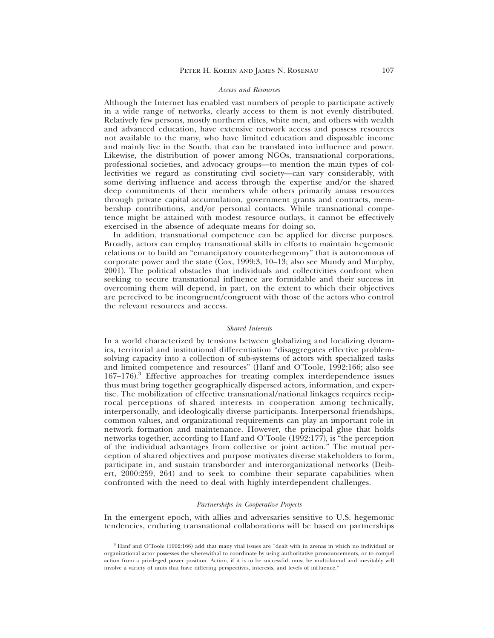#### *Access and Resources*

Although the Internet has enabled vast numbers of people to participate actively in a wide range of networks, clearly access to them is not evenly distributed. Relatively few persons, mostly northern elites, white men, and others with wealth and advanced education, have extensive network access and possess resources not available to the many, who have limited education and disposable income and mainly live in the South, that can be translated into influence and power. Likewise, the distribution of power among NGOs, transnational corporations, professional societies, and advocacy groups—to mention the main types of collectivities we regard as constituting civil society—can vary considerably, with some deriving influence and access through the expertise and/or the shared deep commitments of their members while others primarily amass resources through private capital accumulation, government grants and contracts, membership contributions, and/or personal contacts. While transnational competence might be attained with modest resource outlays, it cannot be effectively exercised in the absence of adequate means for doing so.

In addition, transnational competence can be applied for diverse purposes. Broadly, actors can employ transnational skills in efforts to maintain hegemonic relations or to build an "emancipatory counterhegemony" that is autonomous of corporate power and the state  $(Cox, 1999:3, 10-13;$  also see Mundy and Murphy, 2001). The political obstacles that individuals and collectivities confront when seeking to secure transnational influence are formidable and their success in overcoming them will depend, in part, on the extent to which their objectives are perceived to be incongruent/congruent with those of the actors who control the relevant resources and access.

#### *Shared Interests*

In a world characterized by tensions between globalizing and localizing dynamics, territorial and institutional differentiation "disaggregates effective problemsolving capacity into a collection of sub-systems of actors with specialized tasks and limited competence and resources" (Hanf and O'Toole, 1992:166; also see 167-176).<sup>3</sup> Effective approaches for treating complex interdependence issues thus must bring together geographically dispersed actors, information, and expertise. The mobilization of effective transnational/national linkages requires reciprocal perceptions of shared interests in cooperation among technically, interpersonally, and ideologically diverse participants. Interpersonal friendships, common values, and organizational requirements can play an important role in network formation and maintenance. However, the principal glue that holds networks together, according to Hanf and O'Toole (1992:177), is "the perception of the individual advantages from collective or joint action." The mutual perception of shared objectives and purpose motivates diverse stakeholders to form, participate in, and sustain transborder and interorganizational networks (Deibert, 2000:259, 264) and to seek to combine their separate capabilities when confronted with the need to deal with highly interdependent challenges.

## *Partnerships in Cooperative Projects*

In the emergent epoch, with allies and adversaries sensitive to U.S. hegemonic tendencies, enduring transnational collaborations will be based on partnerships

<sup>&</sup>lt;sup>3</sup> Hanf and O'Toole (1992:166) add that many vital issues are "dealt with in arenas in which no individual or organizational actor possesses the wherewithal to coordinate by using authoritative pronouncements, or to compel action from a privileged power position. Action, if it is to be successful, must be multi-lateral and inevitably will involve a variety of units that have differing perspectives, interests, and levels of influence."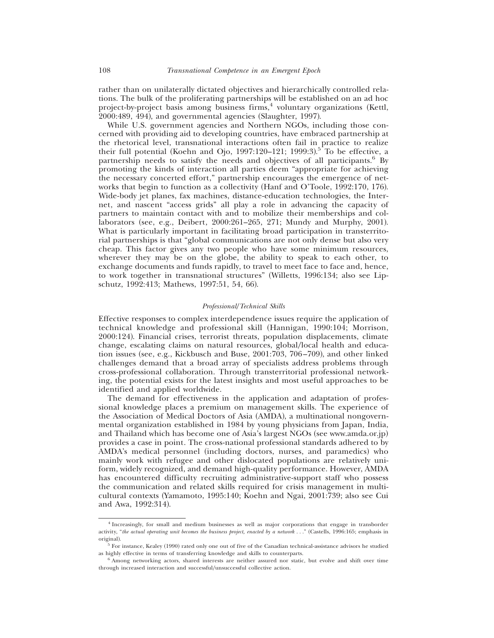rather than on unilaterally dictated objectives and hierarchically controlled relations. The bulk of the proliferating partnerships will be established on an ad hoc project-by-project basis among business firms, $4$  voluntary organizations (Kettl, 2000:489, 494), and governmental agencies (Slaughter, 1997).

While U.S. government agencies and Northern NGOs, including those concerned with providing aid to developing countries, have embraced partnership at the rhetorical level, transnational interactions often fail in practice to realize their full potential (Koehn and Ojo, 1997:120–121; 1999:3). $5$  To be effective, a partnership needs to satisfy the needs and objectives of all participants.<sup>6</sup> By promoting the kinds of interaction all parties deem "appropriate for achieving the necessary concerted effort," partnership encourages the emergence of networks that begin to function as a collectivity  $(Hanf and O'Toole, 1992:170, 176)$ . Wide-body jet planes, fax machines, distance-education technologies, the Internet, and nascent "access grids" all play a role in advancing the capacity of partners to maintain contact with and to mobilize their memberships and collaborators (see, e.g., Deibert, 2000:261–265, 271; Mundy and Murphy, 2001). What is particularly important in facilitating broad participation in transterritorial partnerships is that "global communications are not only dense but also very cheap. This factor gives any two people who have some minimum resources, wherever they may be on the globe, the ability to speak to each other, to exchange documents and funds rapidly, to travel to meet face to face and, hence, to work together in transnational structures" (Willetts, 1996:134; also see Lipschutz, 1992:413; Mathews, 1997:51, 54, 66).

#### *Professional*0*Technical Skills*

Effective responses to complex interdependence issues require the application of technical knowledge and professional skill  $(Hannigan, 1990:104;$  Morrison, 2000:124!. Financial crises, terrorist threats, population displacements, climate change, escalating claims on natural resources, global/local health and education issues (see, e.g., Kickbusch and Buse,  $2001:703$ ,  $706-709$ ), and other linked challenges demand that a broad array of specialists address problems through cross-professional collaboration. Through transterritorial professional networking, the potential exists for the latest insights and most useful approaches to be identified and applied worldwide.

The demand for effectiveness in the application and adaptation of professional knowledge places a premium on management skills. The experience of the Association of Medical Doctors of Asia (AMDA), a multinational nongovernmental organization established in 1984 by young physicians from Japan, India, and Thailand which has become one of Asia's largest NGOs (see www.amda.or.jp) provides a case in point. The cross-national professional standards adhered to by AMDA's medical personnel (including doctors, nurses, and paramedics) who mainly work with refugee and other dislocated populations are relatively uniform, widely recognized, and demand high-quality performance. However, AMDA has encountered difficulty recruiting administrative-support staff who possess the communication and related skills required for crisis management in multicultural contexts (Yamamoto, 1995:140; Koehn and Ngai, 2001:739; also see Cui and Awa, 1992:314).

<sup>4</sup> Increasingly, for small and medium businesses as well as major corporations that engage in transborder activity, "*the actual operating unit becomes the business project, enacted by a network* . . ." (Castells, 1996:165; emphasis in original).

 $5$  For instance, Kealey (1990) rated only one out of five of the Canadian technical-assistance advisors he studied as highly effective in terms of transferring knowledge and skills to counterparts.

<sup>6</sup> Among networking actors, shared interests are neither assured nor static, but evolve and shift over time through increased interaction and successful/unsuccessful collective action.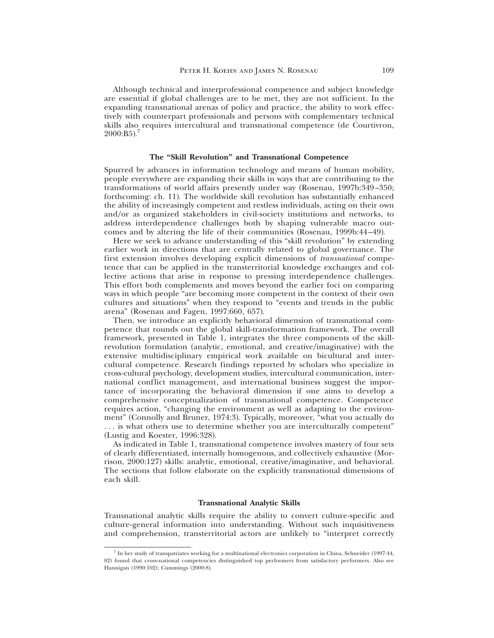Although technical and interprofessional competence and subject knowledge are essential if global challenges are to be met, they are not sufficient. In the expanding transnational arenas of policy and practice, the ability to work effectively with counterpart professionals and persons with complementary technical skills also requires intercultural and transnational competence (de Courtivron,  $2000:B5$ ).<sup>7</sup>

# **The "Skill Revolution" and Transnational Competence**

Spurred by advances in information technology and means of human mobility, people everywhere are expanding their skills in ways that are contributing to the transformations of world affairs presently under way (Rosenau, 1997b:349–350; forthcoming: ch. 11). The worldwide skill revolution has substantially enhanced the ability of increasingly competent and restless individuals, acting on their own and/or as organized stakeholders in civil-society institutions and networks, to address interdependence challenges both by shaping vulnerable macro outcomes and by altering the life of their communities (Rosenau, 1999b:44–49).

Here we seek to advance understanding of this "skill revolution" by extending earlier work in directions that are centrally related to global governance. The first extension involves developing explicit dimensions of *transnational* competence that can be applied in the transterritorial knowledge exchanges and collective actions that arise in response to pressing interdependence challenges. This effort both complements and moves beyond the earlier foci on comparing ways in which people "are becoming more competent in the context of their own cultures and situations" when they respond to "events and trends in the public arena" (Rosenau and Fagen, 1997:660, 657).

Then, we introduce an explicitly behavioral dimension of transnational competence that rounds out the global skill-transformation framework. The overall framework, presented in Table 1, integrates the three components of the skillrevolution formulation (analytic, emotional, and creative/imaginative) with the extensive multidisciplinary empirical work available on bicultural and intercultural competence. Research findings reported by scholars who specialize in cross-cultural psychology, development studies, intercultural communication, international conflict management, and international business suggest the importance of incorporating the behavioral dimension if one aims to develop a comprehensive conceptualization of transnational competence. Competence requires action, "changing the environment as well as adapting to the environment" (Connolly and Bruner, 1974:3). Typically, moreover, "what you actually do . . . is what others use to determine whether you are interculturally competent" (Lustig and Koester, 1996:328).

As indicated in Table 1, transnational competence involves mastery of four sets of clearly differentiated, internally homogenous, and collectively exhaustive (Morrison, 2000:127) skills: analytic, emotional, creative/imaginative, and behavioral. The sections that follow elaborate on the explicitly transnational dimensions of each skill.

#### **Transnational Analytic Skills**

Transnational analytic skills require the ability to convert culture-specific and culture-general information into understanding. Without such inquisitiveness and comprehension, transterritorial actors are unlikely to "interpret correctly

 $7$  In her study of transpatriates working for a multinational electronics corporation in China, Schneider  $(1997:44,$ 82) found that cross-national competencies distinguished top performers from satisfactory performers. Also see Hannigan (1990:102); Cummings (2000:8).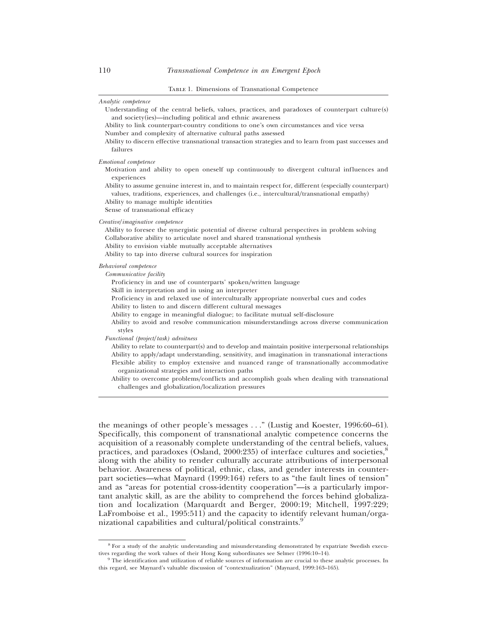#### *Analytic competence*

Understanding of the central beliefs, values, practices, and paradoxes of counterpart culture $(s)$ and society(ies)—including political and ethnic awareness

Ability to link counterpart-country conditions to one's own circumstances and vice versa Number and complexity of alternative cultural paths assessed

Ability to discern effective transnational transaction strategies and to learn from past successes and failures

#### *Emotional competence*

Motivation and ability to open oneself up continuously to divergent cultural influences and experiences

Ability to assume genuine interest in, and to maintain respect for, different (especially counterpart) values, traditions, experiences, and challenges (i.e., intercultural/transnational empathy)

Ability to manage multiple identities

Sense of transnational efficacy

*Creative*/*imaginative competence* 

Ability to foresee the synergistic potential of diverse cultural perspectives in problem solving Collaborative ability to articulate novel and shared transnational synthesis

Ability to envision viable mutually acceptable alternatives

Ability to tap into diverse cultural sources for inspiration

## *Behavioral competence*

*Communicative facility*

Proficiency in and use of counterparts' spoken/written language

Skill in interpretation and in using an interpreter

Proficiency in and relaxed use of interculturally appropriate nonverbal cues and codes

Ability to listen to and discern different cultural messages

Ability to engage in meaningful dialogue; to facilitate mutual self-disclosure

Ability to avoid and resolve communication misunderstandings across diverse communication styles

 $Functional (project/task)~adroitness$ 

Ability to relate to counterpart(s) and to develop and maintain positive interpersonal relationships Ability to apply/adapt understanding, sensitivity, and imagination in transnational interactions Flexible ability to employ extensive and nuanced range of transnationally accommodative organizational strategies and interaction paths

Ability to overcome problems/conflicts and accomplish goals when dealing with transnational challenges and globalization/localization pressures

the meanings of other people's messages . . ." (Lustig and Koester, 1996:60-61). Specifically, this component of transnational analytic competence concerns the acquisition of a reasonably complete understanding of the central beliefs, values, practices, and paradoxes (Osland, 2000:235) of interface cultures and societies, $8$ along with the ability to render culturally accurate attributions of interpersonal behavior. Awareness of political, ethnic, class, and gender interests in counterpart societies—what Maynard (1999:164) refers to as "the fault lines of tension" and as "areas for potential cross-identity cooperation"—is a particularly important analytic skill, as are the ability to comprehend the forces behind globalization and localization (Marquardt and Berger, 2000:19; Mitchell, 1997:229; LaFromboise et al., 1995:511) and the capacity to identify relevant human/organizational capabilities and cultural/political constraints.<sup>9</sup>

<sup>8</sup> For a study of the analytic understanding and misunderstanding demonstrated by expatriate Swedish executives regarding the work values of their Hong Kong subordinates see Selmer (1996:10–14).

<sup>9</sup> The identification and utilization of reliable sources of information are crucial to these analytic processes. In this regard, see Maynard's valuable discussion of "contextualization" (Maynard, 1999:163-165).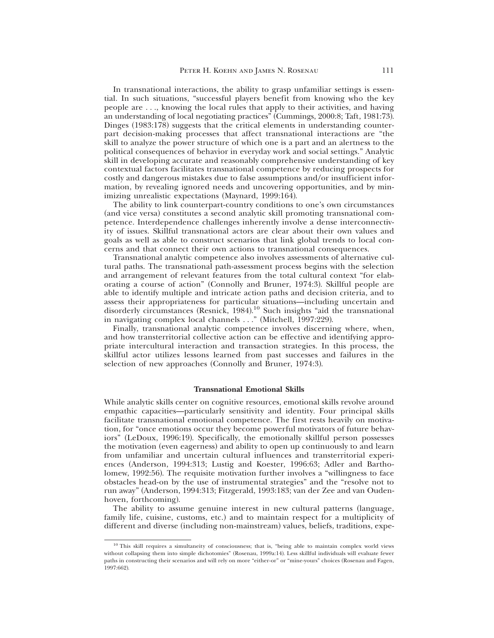In transnational interactions, the ability to grasp unfamiliar settings is essential. In such situations, "successful players benefit from knowing who the key people are . . ., knowing the local rules that apply to their activities, and having an understanding of local negotiating practices" (Cummings, 2000:8; Taft, 1981:73). Dinges (1983:178) suggests that the critical elements in understanding counterpart decision-making processes that affect transnational interactions are "the skill to analyze the power structure of which one is a part and an alertness to the political consequences of behavior in everyday work and social settings." Analytic skill in developing accurate and reasonably comprehensive understanding of key contextual factors facilitates transnational competence by reducing prospects for costly and dangerous mistakes due to false assumptions and/or insufficient information, by revealing ignored needs and uncovering opportunities, and by minimizing unrealistic expectations (Maynard, 1999:164).

The ability to link counterpart-country conditions to one's own circumstances (and vice versa) constitutes a second analytic skill promoting transnational competence. Interdependence challenges inherently involve a dense interconnectivity of issues. Skillful transnational actors are clear about their own values and goals as well as able to construct scenarios that link global trends to local concerns and that connect their own actions to transnational consequences.

Transnational analytic competence also involves assessments of alternative cultural paths. The transnational path-assessment process begins with the selection and arrangement of relevant features from the total cultural context "for elaborating a course of action" (Connolly and Bruner, 1974:3). Skillful people are able to identify multiple and intricate action paths and decision criteria, and to assess their appropriateness for particular situations—including uncertain and disorderly circumstances (Resnick, 1984).<sup>10</sup> Such insights "aid the transnational in navigating complex local channels . . ." (Mitchell, 1997:229).

Finally, transnational analytic competence involves discerning where, when, and how transterritorial collective action can be effective and identifying appropriate intercultural interaction and transaction strategies. In this process, the skillful actor utilizes lessons learned from past successes and failures in the selection of new approaches (Connolly and Bruner, 1974:3).

## **Transnational Emotional Skills**

While analytic skills center on cognitive resources, emotional skills revolve around empathic capacities—particularly sensitivity and identity. Four principal skills facilitate transnational emotional competence. The first rests heavily on motivation, for "once emotions occur they become powerful motivators of future behaviors" (LeDoux, 1996:19). Specifically, the emotionally skillful person possesses the motivation (even eagerness) and ability to open up continuously to and learn from unfamiliar and uncertain cultural influences and transterritorial experiences (Anderson, 1994:313; Lustig and Koester, 1996:63; Adler and Bartholomew, 1992:56). The requisite motivation further involves a "willingness to face" obstacles head-on by the use of instrumental strategies" and the "resolve not to run away" (Anderson, 1994:313; Fitzgerald, 1993:183; van der Zee and van Oudenhoven, forthcoming).

The ability to assume genuine interest in new cultural patterns (language, family life, cuisine, customs, etc.) and to maintain respect for a multiplicity of different and diverse (including non-mainstream) values, beliefs, traditions, expe-

<sup>&</sup>lt;sup>10</sup> This skill requires a simultaneity of consciousness; that is, "being able to maintain complex world views without collapsing them into simple dichotomies" (Rosenau, 1999a:14). Less skillful individuals will evaluate fewer paths in constructing their scenarios and will rely on more "either-or" or "mine-yours" choices (Rosenau and Fagen, 1997:662).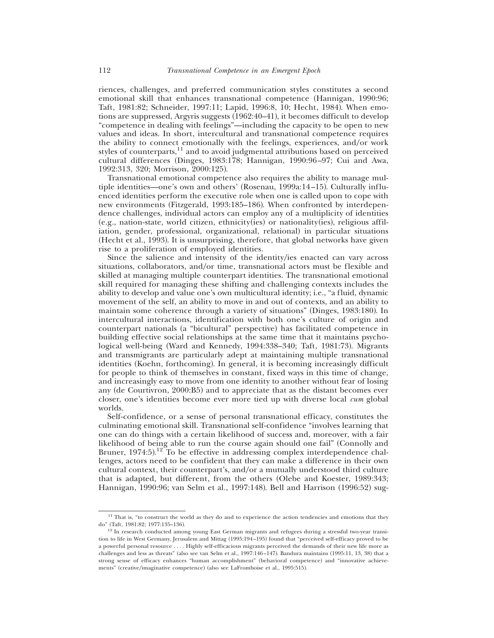riences, challenges, and preferred communication styles constitutes a second emotional skill that enhances transnational competence (Hannigan, 1990:96; Taft, 1981:82; Schneider, 1997:11; Lapid, 1996:8, 10; Hecht, 1984). When emotions are suppressed, Argyris suggests  $(1962:40–41)$ , it becomes difficult to develop "competence in dealing with feelings"—including the capacity to be open to new values and ideas. In short, intercultural and transnational competence requires the ability to connect emotionally with the feelings, experiences, and/or work styles of counterparts, $^{11}$  and to avoid judgmental attributions based on perceived cultural differences (Dinges, 1983:178; Hannigan, 1990:96–97; Cui and Awa, 1992:313, 320; Morrison, 2000:125).

Transnational emotional competence also requires the ability to manage multiple identities—one's own and others' (Rosenau,  $1999a:14-15$ ). Culturally influenced identities perform the executive role when one is called upon to cope with new environments (Fitzgerald, 1993:185–186). When confronted by interdependence challenges, individual actors can employ any of a multiplicity of identities  $(e.g.,$  nation-state, world citizen, ethnicity $(ies)$  or nationality $(ies)$ , religious affiliation, gender, professional, organizational, relational) in particular situations (Hecht et al., 1993). It is unsurprising, therefore, that global networks have given rise to a proliferation of employed identities.

Since the salience and intensity of the identity/ies enacted can vary across situations, collaborators, and/or time, transnational actors must be flexible and skilled at managing multiple counterpart identities. The transnational emotional skill required for managing these shifting and challenging contexts includes the ability to develop and value one's own multicultural identity; i.e., "a fluid, dynamic movement of the self, an ability to move in and out of contexts, and an ability to maintain some coherence through a variety of situations" (Dinges, 1983:180). In intercultural interactions, identification with both one's culture of origin and counterpart nationals (a "bicultural" perspective) has facilitated competence in building effective social relationships at the same time that it maintains psychological well-being (Ward and Kennedy, 1994:338–340; Taft, 1981:73). Migrants and transmigrants are particularly adept at maintaining multiple transnational identities (Koehn, forthcoming). In general, it is becoming increasingly difficult for people to think of themselves in constant, fixed ways in this time of change, and increasingly easy to move from one identity to another without fear of losing any (de Courtivron, 2000:B5) and to appreciate that as the distant becomes ever closer, one's identities become ever more tied up with diverse local *cum* global worlds.

Self-confidence, or a sense of personal transnational efficacy, constitutes the culminating emotional skill. Transnational self-confidence "involves learning that one can do things with a certain likelihood of success and, moreover, with a fair likelihood of being able to run the course again should one fail" (Connolly and Bruner, 1974:5).<sup>12</sup> To be effective in addressing complex interdependence challenges, actors need to be confident that they can make a difference in their own cultural context, their counterpart's, and/or a mutually understood third culture that is adapted, but different, from the others (Olebe and Koester, 1989:343; Hannigan, 1990:96; van Selm et al., 1997:148). Bell and Harrison (1996:52) sug-

<sup>&</sup>lt;sup>11</sup> That is, "to construct the world as they do and to experience the action tendencies and emotions that they do" (Taft, 1981:82; 1977:135-136).

 $12$  In research conducted among young East German migrants and refugees during a stressful two-year transition to life in West Germany, Jerusalem and Mittag (1995:194-195) found that "perceived self-efficacy proved to be a powerful personal resource .... Highly self-efficacious migrants perceived the demands of their new life more as challenges and less as threats" (also see van Selm et al., 1997:146–147). Bandura maintains  $(1995:11, 13, 38)$  that a strong sense of efficacy enhances "human accomplishment" (behavioral competence) and "innovative achievements" (creative/imaginative competence) (also see LaFromboise et al., 1995:515).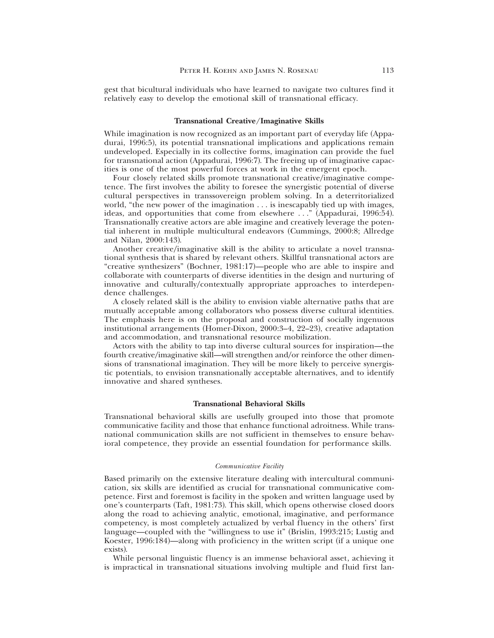gest that bicultural individuals who have learned to navigate two cultures find it relatively easy to develop the emotional skill of transnational efficacy.

#### **Transnational Creative/Imaginative Skills**

While imagination is now recognized as an important part of everyday life (Appadurai, 1996:5), its potential transnational implications and applications remain undeveloped. Especially in its collective forms, imagination can provide the fuel for transnational action (Appadurai, 1996:7). The freeing up of imaginative capacities is one of the most powerful forces at work in the emergent epoch.

Four closely related skills promote transnational creative/imaginative competence. The first involves the ability to foresee the synergistic potential of diverse cultural perspectives in transsovereign problem solving. In a deterritorialized world, "the new power of the imagination . . . is inescapably tied up with images, ideas, and opportunities that come from elsewhere ..." (Appadurai, 1996:54). Transnationally creative actors are able imagine and creatively leverage the potential inherent in multiple multicultural endeavors (Cummings, 2000:8; Allredge and Nilan, 2000:143).

Another creative/imaginative skill is the ability to articulate a novel transnational synthesis that is shared by relevant others. Skillful transnational actors are "creative synthesizers" (Bochner, 1981:17)—people who are able to inspire and collaborate with counterparts of diverse identities in the design and nurturing of innovative and culturally/contextually appropriate approaches to interdependence challenges.

A closely related skill is the ability to envision viable alternative paths that are mutually acceptable among collaborators who possess diverse cultural identities. The emphasis here is on the proposal and construction of socially ingenuous institutional arrangements (Homer-Dixon,  $2000:3-4$ ,  $22-23$ ), creative adaptation and accommodation, and transnational resource mobilization.

Actors with the ability to tap into diverse cultural sources for inspiration—the fourth creative/imaginative skill—will strengthen and/or reinforce the other dimensions of transnational imagination. They will be more likely to perceive synergistic potentials, to envision transnationally acceptable alternatives, and to identify innovative and shared syntheses.

#### **Transnational Behavioral Skills**

Transnational behavioral skills are usefully grouped into those that promote communicative facility and those that enhance functional adroitness. While transnational communication skills are not sufficient in themselves to ensure behavioral competence, they provide an essential foundation for performance skills.

#### *Communicative Facility*

Based primarily on the extensive literature dealing with intercultural communication, six skills are identified as crucial for transnational communicative competence. First and foremost is facility in the spoken and written language used by one's counterparts (Taft, 1981:73). This skill, which opens otherwise closed doors along the road to achieving analytic, emotional, imaginative, and performance competency, is most completely actualized by verbal fluency in the others' first language—coupled with the "willingness to use it" (Brislin, 1993:215; Lustig and Koester,  $1996:184$ —along with proficiency in the written script (if a unique one exists).

While personal linguistic fluency is an immense behavioral asset, achieving it is impractical in transnational situations involving multiple and fluid first lan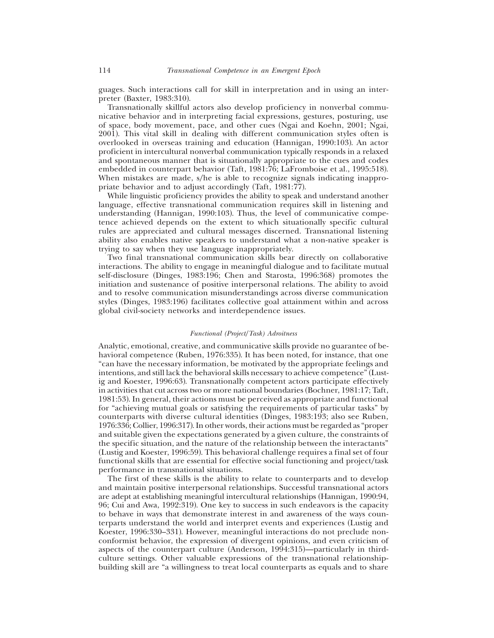guages. Such interactions call for skill in interpretation and in using an interpreter (Baxter, 1983:310).

Transnationally skillful actors also develop proficiency in nonverbal communicative behavior and in interpreting facial expressions, gestures, posturing, use of space, body movement, pace, and other cues (Ngai and Koehn, 2001; Ngai, 2001). This vital skill in dealing with different communication styles often is overlooked in overseas training and education (Hannigan, 1990:103). An actor proficient in intercultural nonverbal communication typically responds in a relaxed and spontaneous manner that is situationally appropriate to the cues and codes embedded in counterpart behavior (Taft, 1981:76; LaFromboise et al., 1995:518). When mistakes are made, s/he is able to recognize signals indicating inappropriate behavior and to adjust accordingly (Taft, 1981:77).

While linguistic proficiency provides the ability to speak and understand another language, effective transnational communication requires skill in listening and understanding (Hannigan, 1990:103). Thus, the level of communicative competence achieved depends on the extent to which situationally specific cultural rules are appreciated and cultural messages discerned. Transnational listening ability also enables native speakers to understand what a non-native speaker is trying to say when they use language inappropriately.

Two final transnational communication skills bear directly on collaborative interactions. The ability to engage in meaningful dialogue and to facilitate mutual self-disclosure (Dinges, 1983:196; Chen and Starosta, 1996:368) promotes the initiation and sustenance of positive interpersonal relations. The ability to avoid and to resolve communication misunderstandings across diverse communication styles (Dinges, 1983:196) facilitates collective goal attainment within and across global civil-society networks and interdependence issues.

## $Functional$  (Project/Task) Adroitness

Analytic, emotional, creative, and communicative skills provide no guarantee of behavioral competence (Ruben, 1976:335). It has been noted, for instance, that one "can have the necessary information, be motivated by the appropriate feelings and intentions, and still lack the behavioral skills necessary to achieve competence" (Lustig and Koester, 1996:63). Transnationally competent actors participate effectively in activities that cut across two or more national boundaries (Bochner,  $1981:17$ ; Taft, 1981:53!. In general, their actions must be perceived as appropriate and functional for "achieving mutual goals or satisfying the requirements of particular tasks" by counterparts with diverse cultural identities (Dinges, 1983:193; also see Ruben, 1976:336; Collier, 1996:317). In other words, their actions must be regarded as "proper and suitable given the expectations generated by a given culture, the constraints of the specific situation, and the nature of the relationship between the interactants" (Lustig and Koester, 1996:59). This behavioral challenge requires a final set of four functional skills that are essential for effective social functioning and project/task performance in transnational situations.

The first of these skills is the ability to relate to counterparts and to develop and maintain positive interpersonal relationships. Successful transnational actors are adept at establishing meaningful intercultural relationships (Hannigan, 1990:94, 96; Cui and Awa, 1992:319). One key to success in such endeavors is the capacity to behave in ways that demonstrate interest in and awareness of the ways counterparts understand the world and interpret events and experiences (Lustig and Koester, 1996:330–331). However, meaningful interactions do not preclude nonconformist behavior, the expression of divergent opinions, and even criticism of aspects of the counterpart culture (Anderson,  $1994:315$ )—particularly in thirdculture settings. Other valuable expressions of the transnational relationshipbuilding skill are "a willingness to treat local counterparts as equals and to share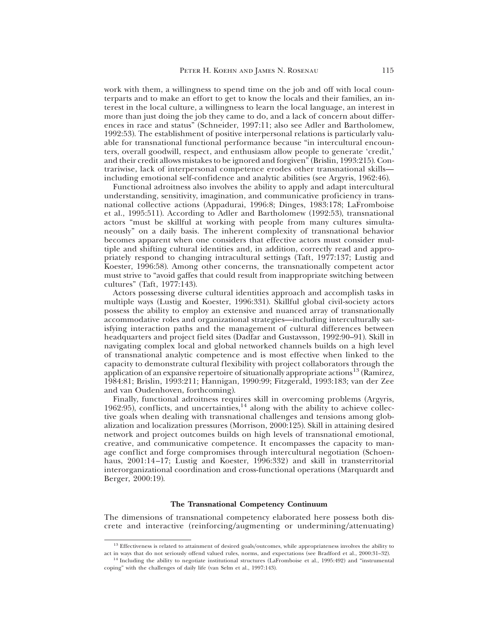work with them, a willingness to spend time on the job and off with local counterparts and to make an effort to get to know the locals and their families, an interest in the local culture, a willingness to learn the local language, an interest in more than just doing the job they came to do, and a lack of concern about differences in race and status" (Schneider, 1997:11; also see Adler and Bartholomew, 1992:53!. The establishment of positive interpersonal relations is particularly valuable for transnational functional performance because "in intercultural encounters, overall goodwill, respect, and enthusiasm allow people to generate 'credit,' and their credit allows mistakes to be ignored and forgiven" (Brislin, 1993:215). Contrariwise, lack of interpersonal competence erodes other transnational skills including emotional self-confidence and analytic abilities (see Argyris, 1962:46).

Functional adroitness also involves the ability to apply and adapt intercultural understanding, sensitivity, imagination, and communicative proficiency in transnational collective actions (Appadurai, 1996:8; Dinges, 1983:178; LaFromboise et al., 1995:511). According to Adler and Bartholomew (1992:53), transnational actors "must be skillful at working with people from many cultures simultaneously" on a daily basis. The inherent complexity of transnational behavior becomes apparent when one considers that effective actors must consider multiple and shifting cultural identities and, in addition, correctly read and appropriately respond to changing intracultural settings (Taft, 1977:137; Lustig and Koester, 1996:58!. Among other concerns, the transnationally competent actor must strive to "avoid gaffes that could result from inappropriate switching between cultures" (Taft, 1977:143).

Actors possessing diverse cultural identities approach and accomplish tasks in multiple ways (Lustig and Koester, 1996:331). Skillful global civil-society actors possess the ability to employ an extensive and nuanced array of transnationally accommodative roles and organizational strategies—including interculturally satisfying interaction paths and the management of cultural differences between headquarters and project field sites (Dadfar and Gustavsson, 1992:90–91). Skill in navigating complex local and global networked channels builds on a high level of transnational analytic competence and is most effective when linked to the capacity to demonstrate cultural flexibility with project collaborators through the application of an expansive repertoire of situationally appropriate actions<sup>13</sup> (Ramirez, 1984:81; Brislin, 1993:211; Hannigan, 1990:99; Fitzgerald, 1993:183; van der Zee and van Oudenhoven, forthcoming).

Finally, functional adroitness requires skill in overcoming problems (Argyris, 1962:95), conflicts, and uncertainties, $^{14}$  along with the ability to achieve collective goals when dealing with transnational challenges and tensions among globalization and localization pressures  $(Morrison, 2000:125)$ . Skill in attaining desired network and project outcomes builds on high levels of transnational emotional, creative, and communicative competence. It encompasses the capacity to manage conflict and forge compromises through intercultural negotiation (Schoenhaus,  $2001:14-17$ ; Lustig and Koester, 1996:332) and skill in transterritorial interorganizational coordination and cross-functional operations (Marquardt and Berger, 2000:19).

## **The Transnational Competency Continuum**

The dimensions of transnational competency elaborated here possess both discrete and interactive (reinforcing/augmenting or undermining/attenuating)

<sup>&</sup>lt;sup>13</sup> Effectiveness is related to attainment of desired goals/outcomes, while appropriateness involves the ability to act in ways that do not seriously offend valued rules, norms, and expectations (see Bradford et al., 2000:31-32).

 $14$  Including the ability to negotiate institutional structures (LaFromboise et al., 1995:492) and "instrumental coping" with the challenges of daily life (van Selm et al., 1997:143).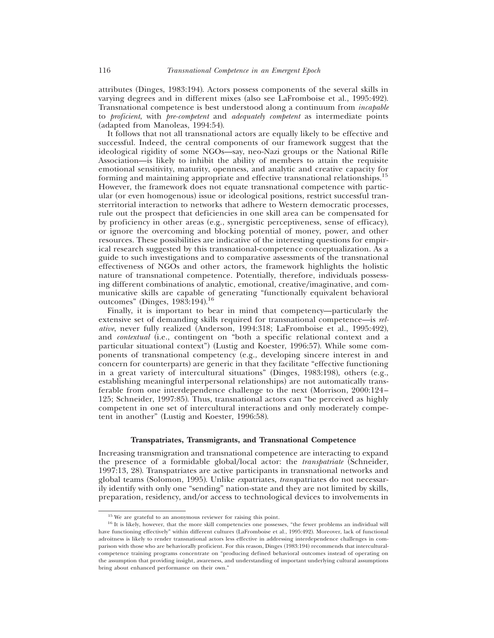attributes (Dinges, 1983:194). Actors possess components of the several skills in varying degrees and in different mixes (also see LaFromboise et al., 1995:492). Transnational competence is best understood along a continuum from *incapable* to *proficient*, with *pre-competent* and *adequately competent* as intermediate points (adapted from Manoleas, 1994:54).

It follows that not all transnational actors are equally likely to be effective and successful. Indeed, the central components of our framework suggest that the ideological rigidity of some NGOs—say, neo-Nazi groups or the National Rifle Association—is likely to inhibit the ability of members to attain the requisite emotional sensitivity, maturity, openness, and analytic and creative capacity for forming and maintaining appropriate and effective transnational relationships.<sup>15</sup> However, the framework does not equate transnational competence with particular (or even homogenous) issue or ideological positions, restrict successful transterritorial interaction to networks that adhere to Western democratic processes, rule out the prospect that deficiencies in one skill area can be compensated for by proficiency in other areas (e.g., synergistic perceptiveness, sense of efficacy), or ignore the overcoming and blocking potential of money, power, and other resources. These possibilities are indicative of the interesting questions for empirical research suggested by this transnational-competence conceptualization. As a guide to such investigations and to comparative assessments of the transnational effectiveness of NGOs and other actors, the framework highlights the holistic nature of transnational competence. Potentially, therefore, individuals possessing different combinations of analytic, emotional, creative/imaginative, and communicative skills are capable of generating "functionally equivalent behavioral outcomes" (Dinges, 1983:194).<sup>16</sup>

Finally, it is important to bear in mind that competency—particularly the extensive set of demanding skills required for transnational competence—is *relative*, never fully realized (Anderson, 1994:318; LaFromboise et al., 1995:492), and *contextual* (i.e., contingent on "both a specific relational context and a particular situational context") (Lustig and Koester, 1996:57). While some components of transnational competency (e.g., developing sincere interest in and concern for counterparts! are generic in that they facilitate "effective functioning in a great variety of intercultural situations" (Dinges, 1983:198), others  $(e.g.,$ establishing meaningful interpersonal relationships) are not automatically transferable from one interdependence challenge to the next (Morrison,  $2000:124-$ 125; Schneider, 1997:85). Thus, transnational actors can "be perceived as highly competent in one set of intercultural interactions and only moderately competent in another" (Lustig and Koester, 1996:58).

#### **Transpatriates, Transmigrants, and Transnational Competence**

Increasing transmigration and transnational competence are interacting to expand the presence of a formidable global/local actor: the *transpatriate* (Schneider, 1997:13, 28!. Transpatriates are active participants in transnational networks and global teams ~Solomon, 1995!. Unlike *ex*patriates, *trans*patriates do not necessarily identify with only one "sending" nation-state and they are not limited by skills, preparation, residency, and/or access to technological devices to involvements in

<sup>&</sup>lt;sup>15</sup> We are grateful to an anonymous reviewer for raising this point.

<sup>&</sup>lt;sup>16</sup> It is likely, however, that the more skill competencies one possesses, "the fewer problems an individual will have functioning effectively" within different cultures (LaFromboise et al., 1995:492). Moreover, lack of functional adroitness is likely to render transnational actors less effective in addressing interdependence challenges in comparison with those who are behaviorally proficient. For this reason, Dinges (1983:194) recommends that interculturalcompetence training programs concentrate on "producing defined behavioral outcomes instead of operating on the assumption that providing insight, awareness, and understanding of important underlying cultural assumptions bring about enhanced performance on their own."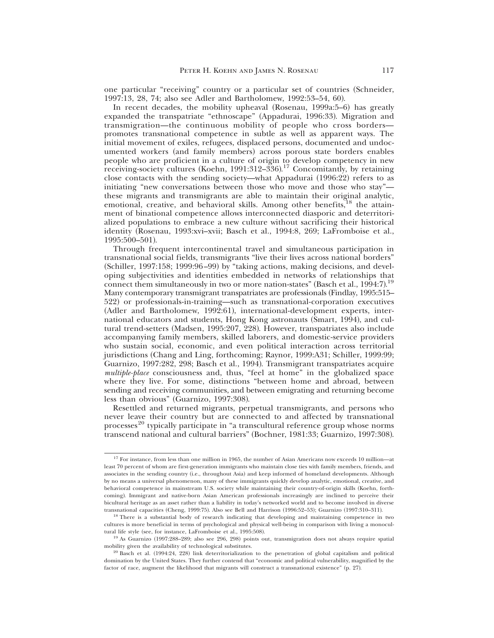one particular "receiving" country or a particular set of countries (Schneider, 1997:13, 28, 74; also see Adler and Bartholomew, 1992:53–54, 60).

In recent decades, the mobility upheaval  $(Rosenau, 1999a:5-6)$  has greatly expanded the transpatriate "ethnoscape" (Appadurai, 1996:33). Migration and transmigration—the continuous mobility of people who cross borders promotes transnational competence in subtle as well as apparent ways. The initial movement of exiles, refugees, displaced persons, documented and undocumented workers (and family members) across porous state borders enables people who are proficient in a culture of origin to develop competency in new  $r$ eceiving-society cultures (Koehn, 1991:312–336).<sup>17</sup> Concomitantly, by retaining close contacts with the sending society—what Appadurai  $(1996:22)$  refers to as initiating "new conversations between those who move and those who stay" these migrants and transmigrants are able to maintain their original analytic, emotional, creative, and behavioral skills. Among other benefits,<sup>18</sup> the attainment of binational competence allows interconnected diasporic and deterritorialized populations to embrace a new culture without sacrificing their historical identity (Rosenau, 1993:xvi–xvii; Basch et al., 1994:8, 269; LaFromboise et al., 1995:500-501).

Through frequent intercontinental travel and simultaneous participation in transnational social fields, transmigrants "live their lives across national borders"  $(Schiller, 1997:158; 1999:96–99)$  by "taking actions, making decisions, and developing subjectivities and identities embedded in networks of relationships that connect them simultaneously in two or more nation-states" (Basch et al.,  $1994:7$ ).<sup>19</sup> Many contemporary transmigrant transpatriates are professionals (Findlay, 1995:515– 522! or professionals-in-training—such as transnational-corporation executives (Adler and Bartholomew, 1992:61), international-development experts, international educators and students, Hong Kong astronauts (Smart, 1994), and cultural trend-setters (Madsen, 1995:207, 228). However, transpatriates also include accompanying family members, skilled laborers, and domestic-service providers who sustain social, economic, and even political interaction across territorial jurisdictions (Chang and Ling, forthcoming; Raynor, 1999:A31; Schiller, 1999:99; Guarnizo, 1997:282, 298; Basch et al., 1994). Transmigrant transpatriates acquire *multiple-place* consciousness and, thus, "feel at home" in the globalized space where they live. For some, distinctions "between home and abroad, between sending and receiving communities, and between emigrating and returning become less than obvious" (Guarnizo, 1997:308).

Resettled and returned migrants, perpetual transmigrants, and persons who never leave their country but are connected to and affected by transnational processes<sup>20</sup> typically participate in "a transcultural reference group whose norms transcend national and cultural barriers" (Bochner, 1981:33; Guarnizo, 1997:308).

<sup>&</sup>lt;sup>17</sup> For instance, from less than one million in 1965, the number of Asian Americans now exceeds 10 million—at least 70 percent of whom are first-generation immigrants who maintain close ties with family members, friends, and associates in the sending country (i.e., throughout Asia) and keep informed of homeland developments. Although by no means a universal phenomenon, many of these immigrants quickly develop analytic, emotional, creative, and behavioral competence in mainstream U.S. society while maintaining their country-of-origin skills (Koehn, forthcoming). Immigrant and native-born Asian American professionals increasingly are inclined to perceive their bicultural heritage as an asset rather than a liability in today's networked world and to become involved in diverse transnational capacities (Cheng, 1999:75). Also see Bell and Harrison (1996:52–53); Guarnizo (1997:310–311).

<sup>&</sup>lt;sup>18</sup> There is a substantial body of research indicating that developing and maintaining competence in two cultures is more beneficial in terms of psychological and physical well-being in comparison with living a monocultural life style (see, for instance, LaFromboise et al., 1995:508).

<sup>&</sup>lt;sup>19</sup> As Guarnizo (1997:288-289; also see 296, 298) points out, transmigration does not always require spatial mobility given the availability of technological substitutes.

 $20$  Basch et al.  $(1994:24, 228)$  link deterritorialization to the penetration of global capitalism and political domination by the United States. They further contend that "economic and political vulnerability, magnified by the factor of race, augment the likelihood that migrants will construct a transnational existence"  $(p. 27)$ .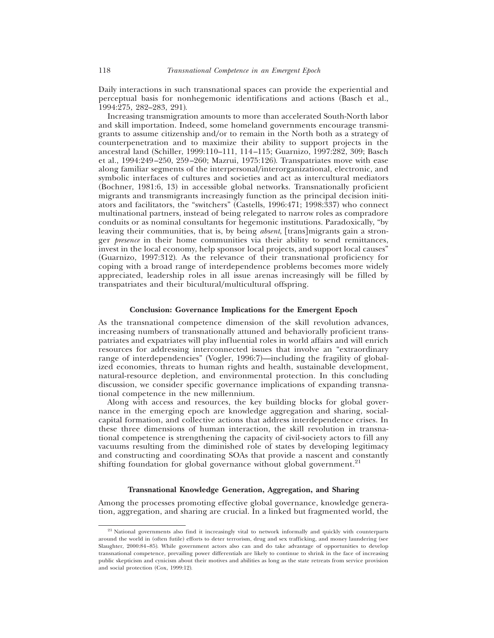Daily interactions in such transnational spaces can provide the experiential and perceptual basis for nonhegemonic identifications and actions (Basch et al., 1994:275, 282-283, 291).

Increasing transmigration amounts to more than accelerated South-North labor and skill importation. Indeed, some homeland governments encourage transmigrants to assume citizenship and/or to remain in the North both as a strategy of counterpenetration and to maximize their ability to support projects in the ancestral land ~Schiller, 1999:110–111, 114–115; Guarnizo, 1997:282, 309; Basch et al., 1994:249–250, 259–260; Mazrui, 1975:126). Transpatriates move with ease along familiar segments of the interpersonal/interorganizational, electronic, and symbolic interfaces of cultures and societies and act as intercultural mediators (Bochner, 1981:6, 13) in accessible global networks. Transnationally proficient migrants and transmigrants increasingly function as the principal decision initiators and facilitators, the "switchers" (Castells, 1996:471; 1998:337) who connect multinational partners, instead of being relegated to narrow roles as compradore conduits or as nominal consultants for hegemonic institutions. Paradoxically, "by leaving their communities, that is, by being *absent*, [trans] migrants gain a stronger *presence* in their home communities via their ability to send remittances, invest in the local economy, help sponsor local projects, and support local causes" ~Guarnizo, 1997:312!. As the relevance of their transnational proficiency for coping with a broad range of interdependence problems becomes more widely appreciated, leadership roles in all issue arenas increasingly will be filled by transpatriates and their bicultural/multicultural offspring.

## **Conclusion: Governance Implications for the Emergent Epoch**

As the transnational competence dimension of the skill revolution advances, increasing numbers of transnationally attuned and behaviorally proficient transpatriates and expatriates will play influential roles in world affairs and will enrich resources for addressing interconnected issues that involve an "extraordinary range of interdependencies" (Vogler, 1996:7)—including the fragility of globalized economies, threats to human rights and health, sustainable development, natural-resource depletion, and environmental protection. In this concluding discussion, we consider specific governance implications of expanding transnational competence in the new millennium.

Along with access and resources, the key building blocks for global governance in the emerging epoch are knowledge aggregation and sharing, socialcapital formation, and collective actions that address interdependence crises. In these three dimensions of human interaction, the skill revolution in transnational competence is strengthening the capacity of civil-society actors to fill any vacuums resulting from the diminished role of states by developing legitimacy and constructing and coordinating SOAs that provide a nascent and constantly shifting foundation for global governance without global government.<sup>21</sup>

# **Transnational Knowledge Generation, Aggregation, and Sharing**

Among the processes promoting effective global governance, knowledge generation, aggregation, and sharing are crucial. In a linked but fragmented world, the

<sup>&</sup>lt;sup>21</sup> National governments also find it increasingly vital to network informally and quickly with counterparts around the world in (often futile) efforts to deter terrorism, drug and sex trafficking, and money laundering (see Slaughter, 2000:84-85). While government actors also can and do take advantage of opportunities to develop transnational competence, prevailing power differentials are likely to continue to shrink in the face of increasing public skepticism and cynicism about their motives and abilities as long as the state retreats from service provision and social protection  $(Cox, 1999:12)$ .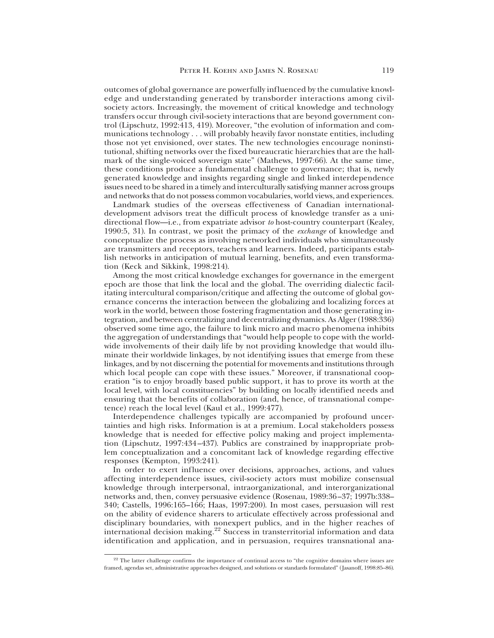outcomes of global governance are powerfully influenced by the cumulative knowledge and understanding generated by transborder interactions among civilsociety actors. Increasingly, the movement of critical knowledge and technology transfers occur through civil-society interactions that are beyond government control (Lipschutz, 1992:413, 419). Moreover, "the evolution of information and communications technology . . . will probably heavily favor nonstate entities, including those not yet envisioned, over states. The new technologies encourage noninstitutional, shifting networks over the fixed bureaucratic hierarchies that are the hallmark of the single-voiced sovereign state" (Mathews, 1997:66). At the same time, these conditions produce a fundamental challenge to governance; that is, newly generated knowledge and insights regarding single and linked interdependence issues need to be shared in a timely and interculturally satisfying manner across groups and networks that do not possess common vocabularies, world views, and experiences.

Landmark studies of the overseas effectiveness of Canadian internationaldevelopment advisors treat the difficult process of knowledge transfer as a unidirectional flow—i.e., from expatriate advisor *to* host-country counterpart (Kealey, 1990:5, 31!. In contrast, we posit the primacy of the *exchange* of knowledge and conceptualize the process as involving networked individuals who simultaneously are transmitters and receptors, teachers and learners. Indeed, participants establish networks in anticipation of mutual learning, benefits, and even transformation (Keck and Sikkink, 1998:214).

Among the most critical knowledge exchanges for governance in the emergent epoch are those that link the local and the global. The overriding dialectic facilitating intercultural comparison/critique and affecting the outcome of global governance concerns the interaction between the globalizing and localizing forces at work in the world, between those fostering fragmentation and those generating integration, and between centralizing and decentralizing dynamics. As Alger (1988:336) observed some time ago, the failure to link micro and macro phenomena inhibits the aggregation of understandings that "would help people to cope with the worldwide involvements of their daily life by not providing knowledge that would illuminate their worldwide linkages, by not identifying issues that emerge from these linkages, and by not discerning the potential for movements and institutions through which local people can cope with these issues." Moreover, if transnational cooperation "is to enjoy broadly based public support, it has to prove its worth at the local level, with local constituencies" by building on locally identified needs and ensuring that the benefits of collaboration (and, hence, of transnational competence) reach the local level (Kaul et al., 1999:477).

Interdependence challenges typically are accompanied by profound uncertainties and high risks. Information is at a premium. Local stakeholders possess knowledge that is needed for effective policy making and project implementation (Lipschutz, 1997:434–437). Publics are constrained by inappropriate problem conceptualization and a concomitant lack of knowledge regarding effective responses (Kempton, 1993:241).

In order to exert influence over decisions, approaches, actions, and values affecting interdependence issues, civil-society actors must mobilize consensual knowledge through interpersonal, intraorganizational, and interorganizational networks and, then, convey persuasive evidence (Rosenau, 1989:36–37; 1997b:338– 340; Castells, 1996:165–166; Haas, 1997:200!. In most cases, persuasion will rest on the ability of evidence sharers to articulate effectively across professional and disciplinary boundaries, with nonexpert publics, and in the higher reaches of international decision making.<sup>22</sup> Success in transterritorial information and data identification and application, and in persuasion, requires transnational ana-

<sup>&</sup>lt;sup>22</sup> The latter challenge confirms the importance of continual access to "the cognitive domains where issues are framed, agendas set, administrative approaches designed, and solutions or standards formulated" (Jasanoff, 1998:85-86).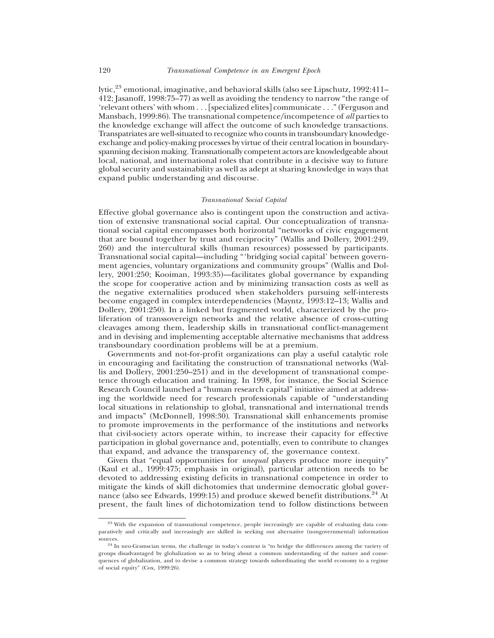lytic, $^{23}$  emotional, imaginative, and behavioral skills (also see Lipschutz, 1992:411– 412; Jasanoff, 1998:75–77! as well as avoiding the tendency to narrow "the range of 'relevant others' with whom  $\ldots$  [specialized elites] communicate . . ." (Ferguson and Mansbach, 1999:86). The transnational competence/incompetence of *all* parties to the knowledge exchange will affect the outcome of such knowledge transactions. Transpatriates are well-situated to recognize who counts in transboundary knowledgeexchange and policy-making processes by virtue of their central location in boundaryspanning decision making. Transnationally competent actors are knowledgeable about local, national, and international roles that contribute in a decisive way to future global security and sustainability as well as adept at sharing knowledge in ways that expand public understanding and discourse.

# *Transnational Social Capital*

Effective global governance also is contingent upon the construction and activation of extensive transnational social capital. Our conceptualization of transnational social capital encompasses both horizontal "networks of civic engagement that are bound together by trust and reciprocity" (Wallis and Dollery,  $2001:249$ , 260) and the intercultural skills (human resources) possessed by participants. Transnational social capital—including "'bridging social capital' between government agencies, voluntary organizations and community groups" (Wallis and Dollery, 2001:250; Kooiman, 1993:35)—facilitates global governance by expanding the scope for cooperative action and by minimizing transaction costs as well as the negative externalities produced when stakeholders pursuing self-interests become engaged in complex interdependencies (Mayntz, 1993:12–13; Wallis and Dollery, 2001:250). In a linked but fragmented world, characterized by the proliferation of transsovereign networks and the relative absence of cross-cutting cleavages among them, leadership skills in transnational conflict-management and in devising and implementing acceptable alternative mechanisms that address transboundary coordination problems will be at a premium.

Governments and not-for-profit organizations can play a useful catalytic role in encouraging and facilitating the construction of transnational networks (Wallis and Dollery, 2001:250–251) and in the development of transnational competence through education and training. In 1998, for instance, the Social Science Research Council launched a "human research capital" initiative aimed at addressing the worldwide need for research professionals capable of "understanding local situations in relationship to global, transnational and international trends and impacts" (McDonnell, 1998:30). Transnational skill enhancements promise to promote improvements in the performance of the institutions and networks that civil-society actors operate within, to increase their capacity for effective participation in global governance and, potentially, even to contribute to changes that expand, and advance the transparency of, the governance context.

Given that "equal opportunities for *unequal* players produce more inequity" (Kaul et al., 1999:475; emphasis in original), particular attention needs to be devoted to addressing existing deficits in transnational competence in order to mitigate the kinds of skill dichotomies that undermine democratic global governance (also see Edwards, 1999:15) and produce skewed benefit distributions.<sup>24</sup> At present, the fault lines of dichotomization tend to follow distinctions between

<sup>&</sup>lt;sup>23</sup> With the expansion of transnational competence, people increasingly are capable of evaluating data comparatively and critically and increasingly are skilled in seeking out alternative (nongovernmental) information sources.

<sup>&</sup>lt;sup>24</sup> In neo-Gramscian terms, the challenge in today's context is "to bridge the differences among the variety of groups disadvantaged by globalization so as to bring about a common understanding of the nature and consequences of globalization, and to devise a common strategy towards subordinating the world economy to a regime of social equity"  $(Cox, 1999:26)$ .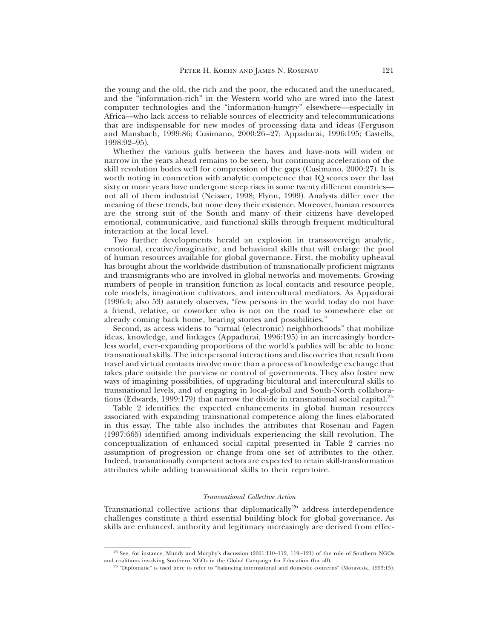the young and the old, the rich and the poor, the educated and the uneducated, and the "information-rich" in the Western world who are wired into the latest computer technologies and the "information-hungry" elsewhere—especially in Africa—who lack access to reliable sources of electricity and telecommunications that are indispensable for new modes of processing data and ideas (Ferguson and Mansbach, 1999:86; Cusimano, 2000:26–27; Appadurai, 1996:195; Castells, 1998:92–95!.

Whether the various gulfs between the haves and have-nots will widen or narrow in the years ahead remains to be seen, but continuing acceleration of the skill revolution bodes well for compression of the gaps (Cusimano,  $2000:27$ ). It is worth noting in connection with analytic competence that IQ scores over the last sixty or more years have undergone steep rises in some twenty different countries not all of them industrial (Neisser, 1998; Flynn, 1999). Analysts differ over the meaning of these trends, but none deny their existence. Moreover, human resources are the strong suit of the South and many of their citizens have developed emotional, communicative, and functional skills through frequent multicultural interaction at the local level.

Two further developments herald an explosion in transsovereign analytic, emotional, creative/imaginative, and behavioral skills that will enlarge the pool of human resources available for global governance. First, the mobility upheaval has brought about the worldwide distribution of transnationally proficient migrants and transmigrants who are involved in global networks and movements. Growing numbers of people in transition function as local contacts and resource people, role models, imagination cultivators, and intercultural mediators. As Appadurai  $(1996:4;$  also 53) astutely observes, "few persons in the world today do not have a friend, relative, or coworker who is not on the road to somewhere else or already coming back home, bearing stories and possibilities."

Second, as access widens to "virtual (electronic) neighborhoods" that mobilize ideas, knowledge, and linkages  $(Appadurai, 1996:195)$  in an increasingly borderless world, ever-expanding proportions of the world's publics will be able to hone transnational skills. The interpersonal interactions and discoveries that result from travel and virtual contacts involve more than a process of knowledge exchange that takes place outside the purview or control of governments. They also foster new ways of imagining possibilities, of upgrading bicultural and intercultural skills to transnational levels, and of engaging in local-global and South-North collaborations (Edwards, 1999:179) that narrow the divide in transnational social capital. $^{25}$ 

Table 2 identifies the expected enhancements in global human resources associated with expanding transnational competence along the lines elaborated in this essay. The table also includes the attributes that Rosenau and Fagen  $(1997:665)$  identified among individuals experiencing the skill revolution. The conceptualization of enhanced social capital presented in Table 2 carries no assumption of progression or change from one set of attributes to the other. Indeed, transnationally competent actors are expected to retain skill-transformation attributes while adding transnational skills to their repertoire.

# *Transnational Collective Action*

Transnational collective actions that diplomatically<sup>26</sup> address interdependence challenges constitute a third essential building block for global governance. As skills are enhanced, authority and legitimacy increasingly are derived from effec-

 $25$  See, for instance, Mundy and Murphy's discussion  $(2001:110-112, 119-121)$  of the role of Southern NGOs and coalitions involving Southern NGOs in the Global Campaign for Education (for all).

<sup>&</sup>lt;sup>26</sup> "Diplomatic" is used here to refer to "balancing international and domestic concerns" (Moravcsik, 1993:15).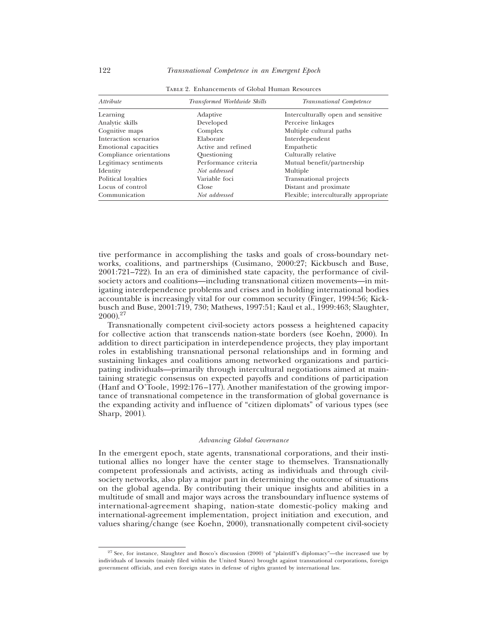| Attribute               | Transformed Worldwide Skills | Transnational Competence              |
|-------------------------|------------------------------|---------------------------------------|
| Learning                | Adaptive                     | Interculturally open and sensitive    |
| Analytic skills         | Developed                    | Perceive linkages                     |
| Cognitive maps          | Complex                      | Multiple cultural paths               |
| Interaction scenarios   | Elaborate                    | Interdependent                        |
| Emotional capacities    | Active and refined           | Empathetic                            |
| Compliance orientations | Questioning                  | Culturally relative                   |
| Legitimacy sentiments   | Performance criteria         | Mutual benefit/partnership            |
| Identity                | Not addressed                | Multiple                              |
| Political loyalties     | Variable foci                | Transnational projects                |
| Locus of control        | Close                        | Distant and proximate                 |
| Communication           | Not addressed                | Flexible; interculturally appropriate |

Table 2. Enhancements of Global Human Resources

tive performance in accomplishing the tasks and goals of cross-boundary networks, coalitions, and partnerships (Cusimano, 2000:27; Kickbusch and Buse, 2001:721–722!. In an era of diminished state capacity, the performance of civilsociety actors and coalitions—including transnational citizen movements—in mitigating interdependence problems and crises and in holding international bodies accountable is increasingly vital for our common security (Finger, 1994:56; Kickbusch and Buse, 2001:719, 730; Mathews, 1997:51; Kaul et al., 1999:463; Slaughter,  $2000$ <sup>27</sup>

Transnationally competent civil-society actors possess a heightened capacity for collective action that transcends nation-state borders (see Koehn, 2000). In addition to direct participation in interdependence projects, they play important roles in establishing transnational personal relationships and in forming and sustaining linkages and coalitions among networked organizations and participating individuals—primarily through intercultural negotiations aimed at maintaining strategic consensus on expected payoffs and conditions of participation ~Hanf and O'Toole, 1992:176–177!. Another manifestation of the growing importance of transnational competence in the transformation of global governance is the expanding activity and influence of "citizen diplomats" of various types (see Sharp, 2001).

## *Advancing Global Governance*

In the emergent epoch, state agents, transnational corporations, and their institutional allies no longer have the center stage to themselves. Transnationally competent professionals and activists, acting as individuals and through civilsociety networks, also play a major part in determining the outcome of situations on the global agenda. By contributing their unique insights and abilities in a multitude of small and major ways across the transboundary influence systems of international-agreement shaping, nation-state domestic-policy making and international-agreement implementation, project initiation and execution, and values sharing/change (see Koehn, 2000), transnationally competent civil-society

 $27$  See, for instance, Slaughter and Bosco's discussion  $(2000)$  of "plaintiff's diplomacy"—the increased use by individuals of lawsuits (mainly filed within the United States) brought against transnational corporations, foreign government officials, and even foreign states in defense of rights granted by international law.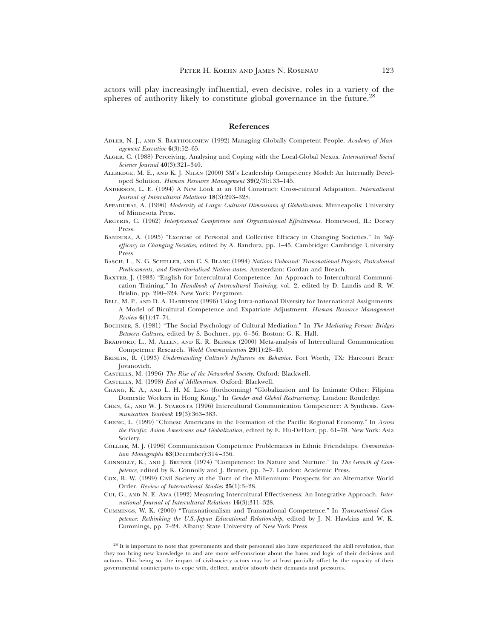actors will play increasingly influential, even decisive, roles in a variety of the spheres of authority likely to constitute global governance in the future.<sup>28</sup>

## **References**

- ADLER, N. J., AND S. BARTHOLOMEW (1992) Managing Globally Competent People. Academy of Man*agement Executive* **6**~3!:52–65.
- Alger, C. ~1988! Perceiving, Analysing and Coping with the Local-Global Nexus. *International Social Science Journal*  $40(3):321-340$ .
- ALLREDGE, M. E., AND K. J. NILAN (2000) 3M's Leadership Competency Model: An Internally Developed Solution. *Human Resource Management* **39**(2/3):133-145.
- Anderson, L. E. ~1994! A New Look at an Old Construct: Cross-cultural Adaptation. *International Journal of Intercultural Relations* 18(3):293–328.
- Appadurai, A. ~1996! *Modernity at Large: Cultural Dimensions of Globalization*. Minneapolis: University of Minnesota Press.
- Argyris, C. ~1962! *Interpersonal Competence and Organizational Effectiveness*. Homewood, IL: Dorsey Press.
- BANDURA, A. (1995) "Exercise of Personal and Collective Efficacy in Changing Societies." In *Selfefficacy in Changing Societies*, edited by A. Bandura, pp. 1–45. Cambridge: Cambridge University Press.
- Basch, L., N. G. Schiller, and C. S. Blanc (1994) *Nations Unbound: Transnational Projects, Postcolonial Predicaments, and Deterritorialized Nation-states*. Amsterdam: Gordan and Breach.
- BAXTER, J. (1983) "English for Intercultural Competence: An Approach to Intercultural Communication Training." In *Handbook of Intercultural Training*, vol. 2, edited by D. Landis and R. W. Brislin, pp. 290–324. New York: Pergamon.
- BELL, M. P., AND D. A. HARRISON (1996) Using Intra-national Diversity for International Assignments: A Model of Bicultural Competence and Expatriate Adjustment. *Human Resource Management Review*  $6(1):47-74.$
- Bochner, S. ~1981! "The Social Psychology of Cultural Mediation." In *The Mediating Person: Bridges Between Cultures*, edited by S. Bochner, pp. 6–36. Boston: G. K. Hall.
- BRADFORD, L., M. ALLEN, AND K. R. BEISSER (2000) Meta-analysis of Intercultural Communication Competence Research. *World Communication* 29(1):28-49.
- Brislin, R. ~1993! *Understanding Culture's Influence on Behavior*. Fort Worth, TX: Harcourt Brace Jovanovich.
- Castells, M. ~1996! *The Rise of the Networked Society*. Oxford: Blackwell.
- Castells, M. ~1998! *End of Millennium*. Oxford: Blackwell.
- CHANG, K. A., AND L. H. M. LING (forthcoming) "Globalization and Its Intimate Other: Filipina Domestic Workers in Hong Kong." In *Gender and Global Restructuring*. London: Routledge.
- Chen, G., and W. J. Starosta ~1996! Intercultural Communication Competence: A Synthesis. *Communication Yearbook* 19(3):363-383.
- Cheng, L. ~1999! "Chinese Americans in the Formation of the Pacific Regional Economy." In *Across the Pacific: Asian Americans and Globalization*, edited by E. Hu-DeHart, pp. 61–78. New York: Asia Society.
- Collier, M. J. ~1996! Communication Competence Problematics in Ethnic Friendships. *Communication Monographs* 63(December):314-336.
- Connolly, K., and J. Bruner ~1974! "Competence: Its Nature and Nurture." In *The Growth of Competence*, edited by K. Connolly and J. Bruner, pp. 3–7. London: Academic Press.
- Cox, R. W. (1999) Civil Society at the Turn of the Millennium: Prospects for an Alternative World Order. *Review of International Studies* 25(1):3-28.
- CUI, G., AND N. E. Awa (1992) Measuring Intercultural Effectiveness: An Integrative Approach. *International Journal of Intercultural Relations*  $16(3):311-328$ .
- Cummings, W. K. ~2000! "Transnationalism and Transnational Competence." In *Transnational Competence: Rethinking the U.S.-Japan Educational Relationship*, edited by J. N. Hawkins and W. K. Cummings, pp. 7–24. Albany: State University of New York Press.

<sup>&</sup>lt;sup>28</sup> It is important to note that governments and their personnel also have experienced the skill revolution, that they too bring new knowledge to and are more self-conscious about the bases and logic of their decisions and actions. This being so, the impact of civil-society actors may be at least partially offset by the capacity of their governmental counterparts to cope with, deflect, and/or absorb their demands and pressures.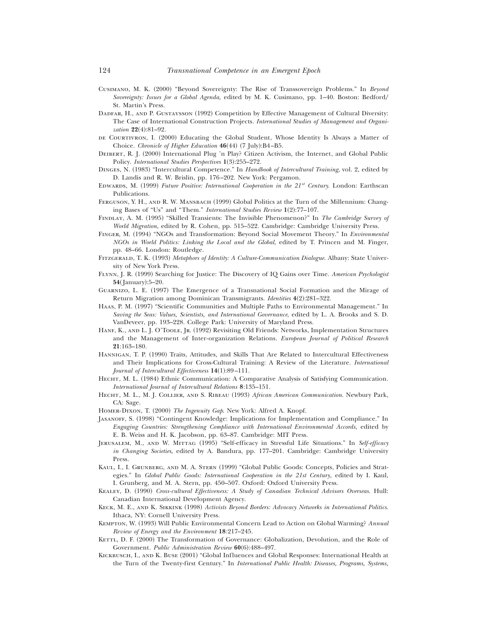- Cusimano, M. K. ~2000! "Beyond Sovereignty: The Rise of Transsovereign Problems." In *Beyond Sovereignty: Issues for a Global Agenda*, edited by M. K. Cusimano, pp. 1–40. Boston: Bedford/ St. Martin's Press.
- DADFAR, H., AND P. GUSTAVSSON (1992) Competition by Effective Management of Cultural Diversity: The Case of International Construction Projects. *International Studies of Management and Organization* 22(4):81-92.
- DE COURTIVRON, I. (2000) Educating the Global Student, Whose Identity Is Always a Matter of Choice. *Chronicle of Higher Education*  $46(44)$  (7 July):B4-B5.
- DEIBERT, R. J. (2000) International Plug 'n Play? Citizen Activism, the Internet, and Global Public Policy. *International Studies Perspectives* 1(3):255–272.
- Dinges, N. ~1983! "Intercultural Competence." In *Handbook of Intercultural Training*, vol. 2, edited by D. Landis and R. W. Brislin, pp. 176–202. New York: Pergamon.
- Edwards, M. ~1999! *Future Positive: International Cooperation in the 21st Century*. London: Earthscan Publications.
- FERGUSON, Y. H., AND R. W. MANSBACH (1999) Global Politics at the Turn of the Millennium: Changing Bases of "Us" and "Them." *International Studies Review* 1(2):77–107.
- Findlay, A. M. ~1995! "Skilled Transients: The Invisible Phenomenon?" In *The Cambridge Survey of World Migration*, edited by R. Cohen, pp. 515–522. Cambridge: Cambridge University Press.
- Finger, M. ~1994! "NGOs and Transformation: Beyond Social Movement Theory." In *Environmental NGOs in World Politics: Linking the Local and the Global*, edited by T. Princen and M. Finger, pp. 48–66. London: Routledge.
- Fitzgerald, T. K. ~1993! *Metaphors of Identity: A Culture-Communication Dialogue*. Albany: State University of New York Press.
- Flynn, J. R. ~1999! Searching for Justice: The Discovery of IQ Gains over Time. *American Psychologist* **54**(January):5–20.
- GUARNIZO, L. E. (1997) The Emergence of a Transnational Social Formation and the Mirage of Return Migration among Dominican Transmigrants. *Identities* 4(2):281-322.
- Haas, P. M. (1997) "Scientific Communities and Multiple Paths to Environmental Management." In *Saving the Seas: Values, Scientists, and International Governance*, edited by L. A. Brooks and S. D. VanDeveer, pp. 193–228. College Park: University of Maryland Press.
- HANF, K., AND L. J. O'Toole, Jr. (1992) Revisiting Old Friends: Networks, Implementation Structures and the Management of Inter-organization Relations. *European Journal of Political Research* **21**:163–180.
- HANNIGAN, T. P. (1990) Traits, Attitudes, and Skills That Are Related to Intercultural Effectiveness and Their Implications for Cross-Cultural Training: A Review of the Literature. *International Journal of Intercultural Effectiveness* **14**(1):89-111.
- HECHT, M. L. (1984) Ethnic Communication: A Comparative Analysis of Satisfying Communication. *International Journal of Intercultural Relations* **8**:135–151.
- HECHT, M. L., M. J. COLLIER, AND S. RIBEAU (1993) *African American Communication*. Newbury Park, CA: Sage.
- HOMER-DIXON, T. (2000) *The Ingenuity Gap*. New York: Alfred A. Knopf.
- JASANOFF, S. (1998) "Contingent Knowledge: Implications for Implementation and Compliance." In *Engaging Countries: Strengthening Compliance with International Environmental Accords*, edited by E. B. Weiss and H. K. Jacobson, pp. 63–87. Cambridge: MIT Press.
- Jerusalem, M., and W. Mittag ~1995! "Self-efficacy in Stressful Life Situations." In *Self-efficacy in Changing Societies*, edited by A. Bandura, pp. 177–201. Cambridge: Cambridge University Press.
- KAUL, I., I. GRUNBERG, AND M. A. STERN (1999) "Global Public Goods: Concepts, Policies and Strategies." In *Global Public Goods: International Cooperation in the 21st Century*, edited by I. Kaul, I. Grunberg, and M. A. Stern, pp. 450–507. Oxford: Oxford University Press.
- Kealey, D. ~1990! *Cross-cultural Effectiveness: A Study of Canadian Technical Advisors Overseas*. Hull: Canadian International Development Agency.
- KECK, M. E., AND K. SIKKINK (1998) *Activists Beyond Borders: Advocacy Networks in International Politics*. Ithaca, NY: Cornell University Press.
- KEMPTON, W. (1993) Will Public Environmental Concern Lead to Action on Global Warming? *Annual Review of Energy and the Environment* **18**:217–245.
- KETTL, D. F. (2000) The Transformation of Governance: Globalization, Devolution, and the Role of Government. *Public Administration Review* 60(6):488-497.
- KICKBUSCH, I., AND K. BUSE (2001) "Global Influences and Global Responses: International Health at the Turn of the Twenty-first Century." In *International Public Health: Diseases, Programs, Systems,*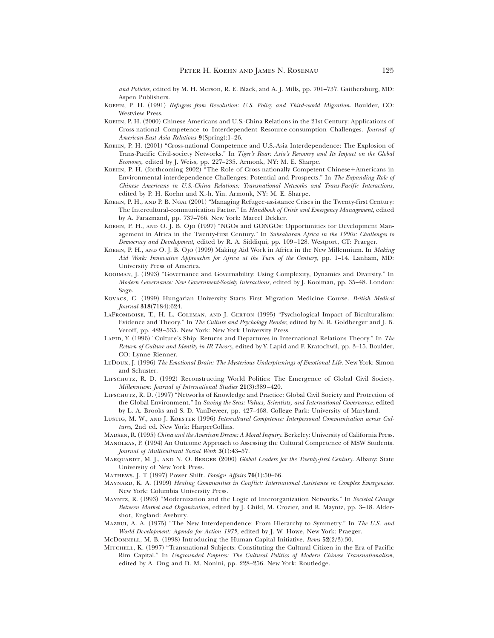*and Policies*, edited by M. H. Merson, R. E. Black, and A. J. Mills, pp. 701–737. Gaithersburg, MD: Aspen Publishers.

- KOEHN, P. H. (1991) *Refugees from Revolution: U.S. Policy and Third-world Migration*. Boulder, CO: Westview Press.
- Коєнн, P. H. (2000) Chinese Americans and U.S.-China Relations in the 21st Century: Applications of Cross-national Competence to Interdependent Resource-consumption Challenges. *Journal of American-East Asia Relations* 9(Spring):1–26.
- Коєнн, P. H. (2001) "Cross-national Competence and U.S.-Asia Interdependence: The Explosion of Trans-Pacific Civil-society Networks." In *Tiger's Roar: Asia's Recovery and Its Impact on the Global Economy*, edited by J. Weiss, pp. 227–235. Armonk, NY: M. E. Sharpe.
- KOEHN, P. H. (forthcoming 2002) "The Role of Cross-nationally Competent Chinese+Americans in Environmental-interdependence Challenges: Potential and Prospects." In *The Expanding Role of Chinese Americans in U.S.-China Relations: Transnational Networks and Trans-Pacific Interactions*, edited by P. H. Koehn and X.-h. Yin. Armonk, NY: M. E. Sharpe.
- KOEHN, P. H., AND P. B. NGAI (2001) "Managing Refugee-assistance Crises in the Twenty-first Century: The Intercultural-communication Factor." In *Handbook of Crisis and Emergency Management*, edited by A. Farazmand, pp. 737–766. New York: Marcel Dekker.
- KOEHN, P. H., AND O. J. B. OJO (1997) "NGOs and GONGOs: Opportunities for Development Management in Africa in the Twenty-first Century." In *Subsaharan Africa in the 1990s: Challenges to Democracy and Development*, edited by R. A. Siddiqui, pp. 109–128. Westport, CT: Praeger.
- Koehn, P. H., and O. J. B. Ojo ~1999! Making Aid Work in Africa in the New Millennium. In *Making Aid Work: Innovative Approaches for Africa at the Turn of the Century*, pp. 1–14. Lanham, MD: University Press of America.
- KOOIMAN, J. (1993) "Governance and Governability: Using Complexity, Dynamics and Diversity." In *Modern Governance: New Government-Society Interactions*, edited by J. Kooiman, pp. 35–48. London: Sage.
- Kovacs, C. (1999) Hungarian University Starts First Migration Medicine Course. *British Medical Journal* **318**(7184):624.
- LAFROMBOISE, T., H. L. COLEMAN, AND J. GERTON (1995) "Psychological Impact of Biculturalism: Evidence and Theory." In *The Culture and Psychology Reader*, edited by N. R. Goldberger and J. B. Veroff, pp. 489–535. New York: New York University Press.
- Lapid, Y. (1996) "Culture's Ship: Returns and Departures in International Relations Theory." In *The Return of Culture and Identity in IR Theory*, edited by Y. Lapid and F. Kratochwil, pp. 3–15. Boulder, CO: Lynne Rienner.
- LeDoux, J. (1996) *The Emotional Brain: The Mysterious Underpinnings of Emotional Life*. New York: Simon and Schuster.
- LIPSCHUTZ, R. D. (1992) Reconstructing World Politics: The Emergence of Global Civil Society. *Millennium: Journal of International Studies*  $21(3):389-420$ .
- LIPSCHUTZ, R. D. (1997) "Networks of Knowledge and Practice: Global Civil Society and Protection of the Global Environment." In *Saving the Seas: Values, Scientists, and International Governance*, edited by L. A. Brooks and S. D. VanDeveer, pp. 427–468. College Park: University of Maryland.
- LUSTIG, M. W., AND J. KOESTER (1996) *Intercultural Competence: Interpersonal Communication across Cultures*, 2nd ed. New York: HarperCollins.
- Madsen, R. ~1995! *China and the American Dream: A Moral Inquiry*. Berkeley: University of California Press.
- MANOLEAS, P. (1994) An Outcome Approach to Assessing the Cultural Competence of MSW Students. Journal of Multicultural Social Work  $3(1):43-57$ .
- MARQUARDT, M. J., AND N. O. BERGER (2000) *Global Leaders for the Twenty-first Century*. Albany: State University of New York Press.
- MATHEWS, J. T (1997) Power Shift. *Foreign Affairs* **76**(1):50–66.
- Maynard, K. A. ~1999! *Healing Communities in Conflict: International Assistance in Complex Emergencies*. New York: Columbia University Press.
- MAYNTZ, R. (1993) "Modernization and the Logic of Interorganization Networks." In *Societal Change Between Market and Organization*, edited by J. Child, M. Crozier, and R. Mayntz, pp. 3–18. Aldershot, England: Avebury.
- MAZRUI, A. A. (1975) "The New Interdependence: From Hierarchy to Symmetry." In *The U.S. and World Development: Agenda for Action 1975*, edited by J. W. Howe, New York: Praeger.
- McDonnell, M. B. (1998) Introducing the Human Capital Initiative. *Items* 52(2/3):30.
- MITCHELL, K. (1997) "Transnational Subjects: Constituting the Cultural Citizen in the Era of Pacific Rim Capital." In *Ungrounded Empires: The Cultural Politics of Modern Chinese Transnationalism*, edited by A. Ong and D. M. Nonini, pp. 228–256. New York: Routledge.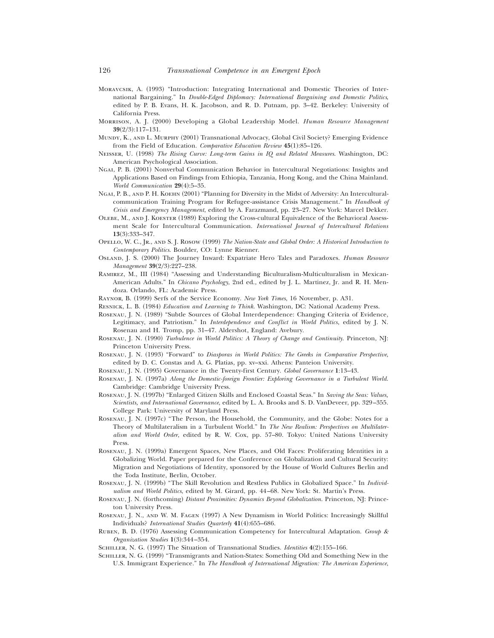- MORAVCSIK, A. (1993) "Introduction: Integrating International and Domestic Theories of International Bargaining." In *Double-Edged Diplomacy: International Bargaining and Domestic Politics*, edited by P. B. Evans, H. K. Jacobson, and R. D. Putnam, pp. 3–42. Berkeley: University of California Press.
- Morrison, A. J. ~2000! Developing a Global Leadership Model. *Human Resource Management* **39** $(2/3):117-131$ .
- MUNDY, K., AND L. MURPHY (2001) Transnational Advocacy, Global Civil Society? Emerging Evidence from the Field of Education. *Comparative Education Review* 45(1):85-126.
- NEISSER, U. (1998) *The Rising Curve: Long-term Gains in IQ and Related Measures*. Washington, DC: American Psychological Association.
- NGAI, P. B. (2001) Nonverbal Communication Behavior in Intercultural Negotiations: Insights and Applications Based on Findings from Ethiopia, Tanzania, Hong Kong, and the China Mainland. *World Communication* 29(4):5–35.
- NGAI, P. B., AND P. H. KOEHN (2001) "Planning for Diversity in the Midst of Adversity: An Interculturalcommunication Training Program for Refugee-assistance Crisis Management." In *Handbook of Crisis and Emergency Management*, edited by A. Farazmand, pp. 23–27. New York: Marcel Dekker.
- OLEBE, M., AND J. KOESTER (1989) Exploring the Cross-cultural Equivalence of the Behavioral Assessment Scale for Intercultural Communication. *International Journal of Intercultural Relations* **13**(3):333-347.
- OPELLO, W. C., JR., AND S. J. ROSOW (1999) The Nation-State and Global Order: A Historical Introduction to *Contemporary Politics*. Boulder, CO: Lynne Rienner.
- OSLAND, J. S. (2000) The Journey Inward: Expatriate Hero Tales and Paradoxes. *Human Resource Management* **39**(2/3):227-238.
- RAMIREZ, M., III (1984) "Assessing and Understanding Biculturalism-Multiculturalism in Mexican-American Adults." In *Chicano Psychology*, 2nd ed., edited by J. L. Martinez, Jr. and R. H. Mendoza. Orlando, FL: Academic Press.
- RAYNOR, B. (1999) Serfs of the Service Economy. *New York Times*, 16 November, p. A31.
- RESNICK, L. B. (1984) *Education and Learning to Think*. Washington, DC: National Academy Press.
- ROSENAU, J. N. (1989) "Subtle Sources of Global Interdependence: Changing Criteria of Evidence, Legitimacy, and Patriotism." In *Interdependence and Conflict in World Politics*, edited by J. N. Rosenau and H. Tromp, pp. 31–47. Aldershot, England: Avebury.
- Rosenau, J. N. ~1990! *Turbulence in World Politics: A Theory of Change and Continuity*. Princeton, NJ: Princeton University Press.
- ROSENAU, J. N. (1993) "Forward" to *Diasporas in World Politics: The Greeks in Comparative Perspective*, edited by D. C. Constas and A. G. Platias, pp. xv–xxi. Athens: Panteion University.
- ROSENAU, J. N. (1995) Governance in the Twenty-first Century. *Global Governance* 1:13-43.
- Rosenau, J. N. ~1997a! *Along the Domestic-foreign Frontier: Exploring Governance in a Turbulent World*. Cambridge: Cambridge University Press.
- ROSENAU, J. N. (1997b) "Enlarged Citizen Skills and Enclosed Coastal Seas." In *Saving the Seas: Values, Scientists, and International Governance*, edited by L. A. Brooks and S. D. VanDeveer, pp. 329–355. College Park: University of Maryland Press.
- ROSENAU, J. N. (1997c) "The Person, the Household, the Community, and the Globe: Notes for a Theory of Multilateralism in a Turbulent World." In *The New Realism: Perspectives on Multilateralism and World Order*, edited by R. W. Cox, pp. 57–80. Tokyo: United Nations University Press.
- ROSENAU, J. N. (1999a) Emergent Spaces, New Places, and Old Faces: Proliferating Identities in a Globalizing World. Paper prepared for the Conference on Globalization and Cultural Security: Migration and Negotiations of Identity, sponsored by the House of World Cultures Berlin and the Toda Institute, Berlin, October.
- ROSENAU, J. N. (1999b) "The Skill Revolution and Restless Publics in Globalized Space." In *Individualism and World Politics*, edited by M. Girard, pp. 44–68. New York: St. Martin's Press.
- Rosenau, J. N. ~forthcoming! *Distant Proximities: Dynamics Beyond Globalization*. Princeton, NJ: Princeton University Press.
- ROSENAU, J. N., AND W. M. FAGEN (1997) A New Dynamism in World Politics: Increasingly Skillful Individuals? *International Studies Quarterly* 41(4):655–686.
- RUBEN, B. D. (1976) Assessing Communication Competency for Intercultural Adaptation. *Group* & *Organization Studies* 1(3):344-354.
- SCHILLER, N. G. (1997) The Situation of Transnational Studies. *Identities* 4(2):155-166.
- SCHILLER, N. G. (1999) "Transmigrants and Nation-States: Something Old and Something New in the U.S. Immigrant Experience." In *The Handbook of International Migration: The American Experience*,